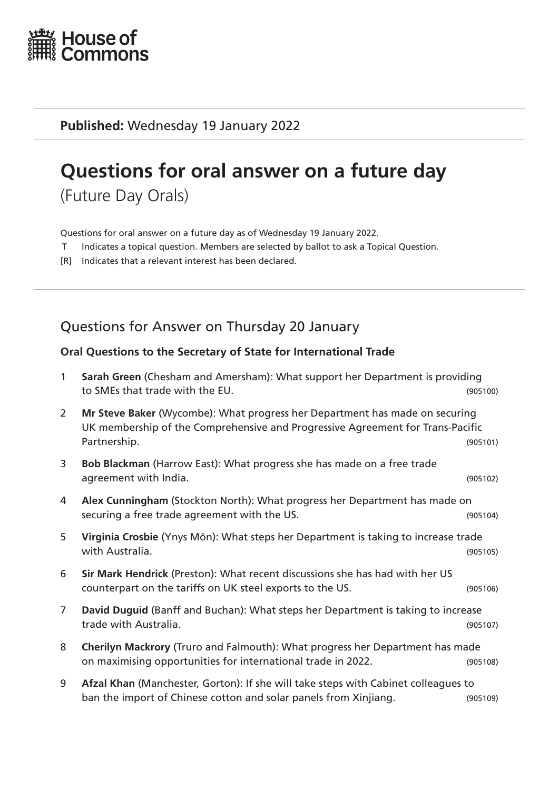

**Published:** Wednesday 19 January 2022

# **Questions for oral answer on a future day**

(Future Day Orals)

Questions for oral answer on a future day as of Wednesday 19 January 2022.

- T Indicates a topical question. Members are selected by ballot to ask a Topical Question.
- [R] Indicates that a relevant interest has been declared.

## Questions for Answer on Thursday 20 January

#### **Oral Questions to the Secretary of State for International Trade**

| $\mathbf{1}$   | Sarah Green (Chesham and Amersham): What support her Department is providing<br>to SMEs that trade with the EU.                                                               | (905100) |
|----------------|-------------------------------------------------------------------------------------------------------------------------------------------------------------------------------|----------|
| $\overline{2}$ | Mr Steve Baker (Wycombe): What progress her Department has made on securing<br>UK membership of the Comprehensive and Progressive Agreement for Trans-Pacific<br>Partnership. | (905101) |
| 3              | Bob Blackman (Harrow East): What progress she has made on a free trade<br>agreement with India.                                                                               | (905102) |
| 4              | Alex Cunningham (Stockton North): What progress her Department has made on<br>securing a free trade agreement with the US.                                                    | (905104) |
| 5              | Virginia Crosbie (Ynys Môn): What steps her Department is taking to increase trade<br>with Australia.                                                                         | (905105) |
| 6              | Sir Mark Hendrick (Preston): What recent discussions she has had with her US<br>counterpart on the tariffs on UK steel exports to the US.                                     | (905106) |
| $\overline{7}$ | David Duguid (Banff and Buchan): What steps her Department is taking to increase<br>trade with Australia.                                                                     | (905107) |
| 8              | Cherilyn Mackrory (Truro and Falmouth): What progress her Department has made<br>on maximising opportunities for international trade in 2022.                                 | (905108) |
| 9              | Afzal Khan (Manchester, Gorton): If she will take steps with Cabinet colleagues to<br>ban the import of Chinese cotton and solar panels from Xinjiang.                        | (905109) |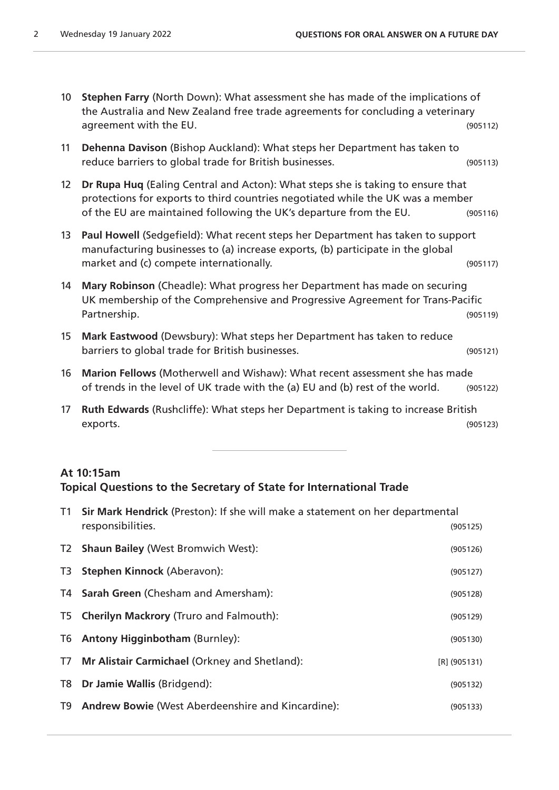- 10 **Stephen Farry** (North Down): What assessment she has made of the implications of the Australia and New Zealand free trade agreements for concluding a veterinary agreement with the EU. (905112)
- 11 **Dehenna Davison** (Bishop Auckland): What steps her Department has taken to reduce barriers to global trade for British businesses. (905113)
- 12 **Dr Rupa Huq** (Ealing Central and Acton): What steps she is taking to ensure that protections for exports to third countries negotiated while the UK was a member of the EU are maintained following the UK's departure from the EU. (905116)
- 13 **Paul Howell** (Sedgefield): What recent steps her Department has taken to support manufacturing businesses to (a) increase exports, (b) participate in the global market and (c) compete internationally. The same state of the state (905117)
- 14 **Mary Robinson** (Cheadle): What progress her Department has made on securing UK membership of the Comprehensive and Progressive Agreement for Trans-Pacific Partnership. (905119)
- 15 **Mark Eastwood** (Dewsbury): What steps her Department has taken to reduce barriers to global trade for British businesses. (905121)
- 16 **Marion Fellows** (Motherwell and Wishaw): What recent assessment she has made of trends in the level of UK trade with the (a) EU and (b) rest of the world. (905122)
- 17 **Ruth Edwards** (Rushcliffe): What steps her Department is taking to increase British exports. (905123)

#### **At 10:15am**

#### **Topical Questions to the Secretary of State for International Trade**

| T1 Sir Mark Hendrick (Preston): If she will make a statement on her departmental<br>responsibilities.<br>(905125) |                |
|-------------------------------------------------------------------------------------------------------------------|----------------|
|                                                                                                                   |                |
| T2 Shaun Bailey (West Bromwich West):                                                                             | (905126)       |
| T3 Stephen Kinnock (Aberavon):                                                                                    | (905127)       |
| T4 Sarah Green (Chesham and Amersham):                                                                            | (905128)       |
| T5 Cherilyn Mackrory (Truro and Falmouth):                                                                        | (905129)       |
| T6 Antony Higginbotham (Burnley):                                                                                 | (905130)       |
| T7 Mr Alistair Carmichael (Orkney and Shetland):                                                                  | $[R]$ (905131) |
| T8 Dr Jamie Wallis (Bridgend):                                                                                    | (905132)       |
| T9 Andrew Bowie (West Aberdeenshire and Kincardine):                                                              | (905133)       |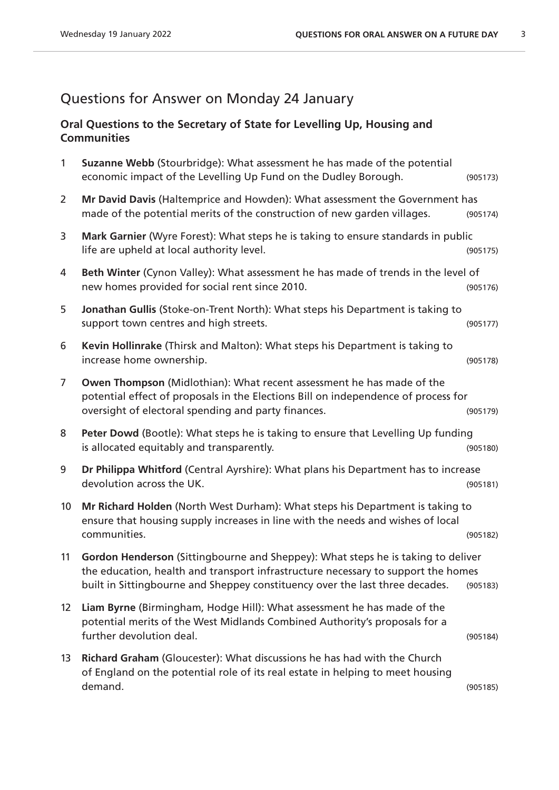## Questions for Answer on Monday 24 January

### **Oral Questions to the Secretary of State for Levelling Up, Housing and Communities**

| $\mathbf{1}$    | Suzanne Webb (Stourbridge): What assessment he has made of the potential<br>economic impact of the Levelling Up Fund on the Dudley Borough.                                                                                                           | (905173) |
|-----------------|-------------------------------------------------------------------------------------------------------------------------------------------------------------------------------------------------------------------------------------------------------|----------|
| $\overline{2}$  | Mr David Davis (Haltemprice and Howden): What assessment the Government has<br>made of the potential merits of the construction of new garden villages.                                                                                               | (905174) |
| 3               | Mark Garnier (Wyre Forest): What steps he is taking to ensure standards in public<br>life are upheld at local authority level.                                                                                                                        | (905175) |
| 4               | Beth Winter (Cynon Valley): What assessment he has made of trends in the level of<br>new homes provided for social rent since 2010.                                                                                                                   | (905176) |
| 5               | Jonathan Gullis (Stoke-on-Trent North): What steps his Department is taking to<br>support town centres and high streets.                                                                                                                              | (905177) |
| 6               | Kevin Hollinrake (Thirsk and Malton): What steps his Department is taking to<br>increase home ownership.                                                                                                                                              | (905178) |
| $\overline{7}$  | Owen Thompson (Midlothian): What recent assessment he has made of the<br>potential effect of proposals in the Elections Bill on independence of process for<br>oversight of electoral spending and party finances.                                    | (905179) |
| 8               | Peter Dowd (Bootle): What steps he is taking to ensure that Levelling Up funding<br>is allocated equitably and transparently.                                                                                                                         | (905180) |
| 9               | Dr Philippa Whitford (Central Ayrshire): What plans his Department has to increase<br>devolution across the UK.                                                                                                                                       | (905181) |
| 10 <sup>°</sup> | Mr Richard Holden (North West Durham): What steps his Department is taking to<br>ensure that housing supply increases in line with the needs and wishes of local<br>communities.                                                                      | (905182) |
| 11              | Gordon Henderson (Sittingbourne and Sheppey): What steps he is taking to deliver<br>the education, health and transport infrastructure necessary to support the homes<br>built in Sittingbourne and Sheppey constituency over the last three decades. | (905183) |
| 12 <sup>2</sup> | Liam Byrne (Birmingham, Hodge Hill): What assessment he has made of the<br>potential merits of the West Midlands Combined Authority's proposals for a<br>further devolution deal.                                                                     | (905184) |
| 13              | Richard Graham (Gloucester): What discussions he has had with the Church<br>of England on the potential role of its real estate in helping to meet housing<br>demand.                                                                                 | (905185) |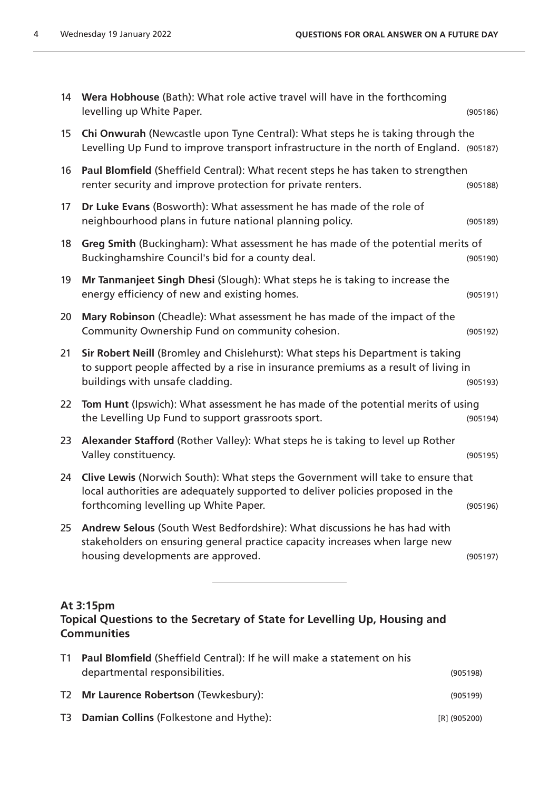| 14                                                                                                           | Wera Hobhouse (Bath): What role active travel will have in the forthcoming<br>levelling up White Paper.                                                                                                    | (905186) |
|--------------------------------------------------------------------------------------------------------------|------------------------------------------------------------------------------------------------------------------------------------------------------------------------------------------------------------|----------|
| 15                                                                                                           | Chi Onwurah (Newcastle upon Tyne Central): What steps he is taking through the<br>Levelling Up Fund to improve transport infrastructure in the north of England. (905187)                                  |          |
| 16                                                                                                           | Paul Blomfield (Sheffield Central): What recent steps he has taken to strengthen<br>renter security and improve protection for private renters.                                                            | (905188) |
| 17                                                                                                           | Dr Luke Evans (Bosworth): What assessment he has made of the role of<br>neighbourhood plans in future national planning policy.                                                                            | (905189) |
| 18                                                                                                           | Greg Smith (Buckingham): What assessment he has made of the potential merits of<br>Buckinghamshire Council's bid for a county deal.                                                                        | (905190) |
| 19                                                                                                           | Mr Tanmanjeet Singh Dhesi (Slough): What steps he is taking to increase the<br>energy efficiency of new and existing homes.                                                                                | (905191) |
| 20                                                                                                           | Mary Robinson (Cheadle): What assessment he has made of the impact of the<br>Community Ownership Fund on community cohesion.                                                                               | (905192) |
| 21                                                                                                           | Sir Robert Neill (Bromley and Chislehurst): What steps his Department is taking<br>to support people affected by a rise in insurance premiums as a result of living in<br>buildings with unsafe cladding.  | (905193) |
| 22                                                                                                           | Tom Hunt (Ipswich): What assessment he has made of the potential merits of using<br>the Levelling Up Fund to support grassroots sport.                                                                     | (905194) |
| 23                                                                                                           | Alexander Stafford (Rother Valley): What steps he is taking to level up Rother<br>Valley constituency.                                                                                                     | (905195) |
| 24                                                                                                           | Clive Lewis (Norwich South): What steps the Government will take to ensure that<br>local authorities are adequately supported to deliver policies proposed in the<br>forthcoming levelling up White Paper. | (905196) |
| 25                                                                                                           | Andrew Selous (South West Bedfordshire): What discussions he has had with<br>stakeholders on ensuring general practice capacity increases when large new<br>housing developments are approved.             | (905197) |
| At 3:15pm<br>Topical Questions to the Secretary of State for Levelling Up, Housing and<br><b>Communities</b> |                                                                                                                                                                                                            |          |
| T1                                                                                                           | Paul Blomfield (Sheffield Central): If he will make a statement on his<br>departmental responsibilities.                                                                                                   | (905198) |
| T <sub>2</sub>                                                                                               | Mr Laurence Robertson (Tewkesbury):                                                                                                                                                                        | (905199) |

T3 **Damian Collins** (Folkestone and Hythe): [R] (905200)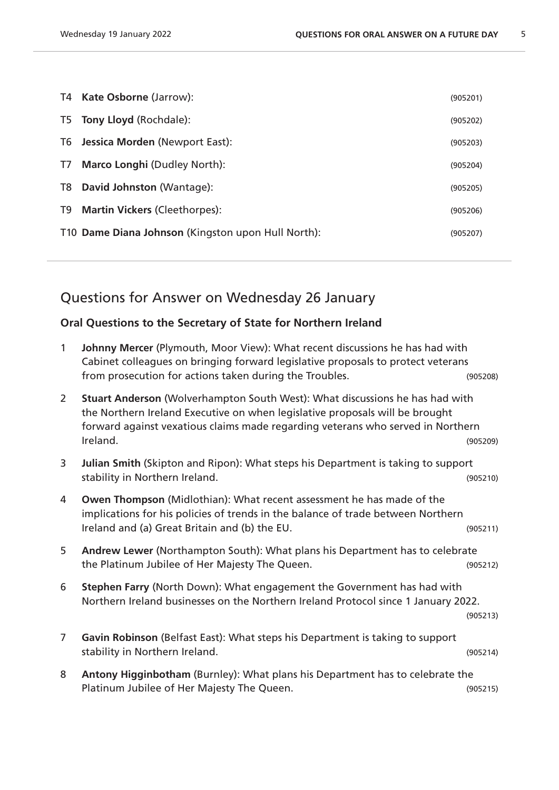|    | T4 Kate Osborne (Jarrow):                          | (905201) |
|----|----------------------------------------------------|----------|
|    | T5 Tony Lloyd (Rochdale):                          | (905202) |
| T6 | Jessica Morden (Newport East):                     | (905203) |
| T7 | <b>Marco Longhi (Dudley North):</b>                | (905204) |
| T8 | David Johnston (Wantage):                          | (905205) |
| T9 | <b>Martin Vickers (Cleethorpes):</b>               | (905206) |
|    | T10 Dame Diana Johnson (Kingston upon Hull North): | (905207) |

## Questions for Answer on Wednesday 26 January

## **Oral Questions to the Secretary of State for Northern Ireland**

| $\mathbf{1}$   | Johnny Mercer (Plymouth, Moor View): What recent discussions he has had with<br>Cabinet colleagues on bringing forward legislative proposals to protect veterans                                                                                            |          |
|----------------|-------------------------------------------------------------------------------------------------------------------------------------------------------------------------------------------------------------------------------------------------------------|----------|
|                | from prosecution for actions taken during the Troubles.                                                                                                                                                                                                     | (905208) |
| $\overline{2}$ | Stuart Anderson (Wolverhampton South West): What discussions he has had with<br>the Northern Ireland Executive on when legislative proposals will be brought<br>forward against vexatious claims made regarding veterans who served in Northern<br>Ireland. | (905209) |
| 3              | Julian Smith (Skipton and Ripon): What steps his Department is taking to support<br>stability in Northern Ireland.                                                                                                                                          | (905210) |
| 4              | Owen Thompson (Midlothian): What recent assessment he has made of the<br>implications for his policies of trends in the balance of trade between Northern<br>Ireland and (a) Great Britain and (b) the EU.                                                  | (905211) |
| 5              | Andrew Lewer (Northampton South): What plans his Department has to celebrate<br>the Platinum Jubilee of Her Majesty The Queen.                                                                                                                              | (905212) |
| 6              | Stephen Farry (North Down): What engagement the Government has had with<br>Northern Ireland businesses on the Northern Ireland Protocol since 1 January 2022.                                                                                               | (905213) |
| $\overline{7}$ | Gavin Robinson (Belfast East): What steps his Department is taking to support<br>stability in Northern Ireland.                                                                                                                                             | (905214) |
| 8              | Antony Higginbotham (Burnley): What plans his Department has to celebrate the<br>Platinum Jubilee of Her Majesty The Queen.                                                                                                                                 | (905215) |